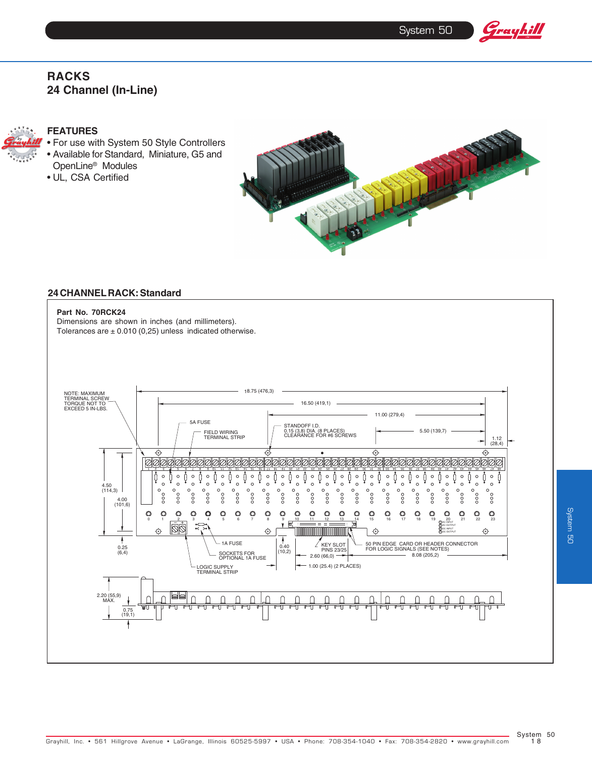System 50

Grayhill

# **RACKS 24 Channel (In-Line)**



## **FEATURES**

- For use with System 50 Style Controllers • Available for Standard, Miniature, G5 and OpenLine® Modules
- UL, CSA Certified



# **24 CHANNEL RACK: Standard**

Dimensions are shown in inches (and millimeters). Tolerances are  $\pm$  0.010 (0,25) unless indicated otherwise.

**Part No. 70RCK24**

#### 18.75 (476,3) NOTE: MAXIMUM<br>TERMINAL SCREW<br>TORQUE NOT TO<br>EXCEED 5 IN-LBS. 16.50 (419,1) 11.00 (279,4) 5A FUSE STANDOFF I.D. 0.15 (3,8) DIA. (8 PLACES) CLEARANCE FOR #6 SCREWS 5.50 (139,7) FIELD WIRING TERMINAL STRIP 1.12 (28,4)  $\rightarrow$  $\overline{\bigcirc}$  $\overline{\mathcal{L}}$  $\overline{\mathcal{L}}$ 000 10000 10000 2 1 3 7 6 5 4 8 12 11 10 9 3 17 16 15 14 1 8 22 21 20 19 1 3 27 26 25 24 2 8 0 29 2 3 1 3 2 3 33 4 3 5 3 6 3 7 3 38 9 3 42 41 40 3 47 46 45 44 4 8 4  $\circ$  $\circ$  $\circ$  $\circ$  $\circ$  $\circ$  $\circ$  $\mathbf{C}$  $\circ$  $\circ$  $\circ$  $\circ$  $\circ$  $\circ$  $\circ$ N C 0  $\circ$  $\overline{c}$  $\circ$  $\circ$  $\circ$  $\circ$  $\circ$  $\circ$  $\ddot{\phantom{a}}\phantom{a}\phantom{a}\phantom{a}\phantom{a}$  $\frac{1}{\sqrt{2}}$ 4.50 (114,3)  $\circ$   $\circ$   $\circ$  $\circ \circ \circ \circ$  $\circ$   $\circ$   $\circ$  $\circ\circ\circ\circ$  $\circ$  $\circ$  $000$  $\frac{1}{2}$  $000$  $\frac{1}{2}$  $000$ °°  $000$ °°  $\frac{1}{2}$ ooo  $000$  $\frac{1}{2}$  $\frac{1}{2}$  $\frac{1}{2}$  $\frac{1}{2}$  $\frac{1}{2}$  $\overline{\circ}$ 4.00 (101,6)  $\circ$  $\circ$  $\circ$  $\circ$  $\circledcirc$  $\circ$  $\circ$  $\circ$  $\circ$  $\circ$  $\circ$  $\circ$ 0 1 <u>2 3</u> 4 5 6 7 8 9 <u>10 11 12 13 1</u>4 15 16 17 18 19 20 21 22 23 AC INPUT  $\overline{\mathbb{Q}}$ B AC OUTPUT  $\hat{\mathbf{\Theta}}$  $\bigoplus$ ♦  $\hat{\mathbf{\Theta}}$ DC INPUT R DC OUTPUT  $\overline{\phantom{a}}$ 1A FUSE  $2$  KEY SLOT<br>PINS 23/25<br>2.60 (66,0) 50 PIN EDGE CARD OR HEADER CONNECTOR FOR LOGIC SIGNALS (SEE NOTES) KEY SLOT 8.08 (205,2) 0.40 (10,2) 0.25 (6,4) SOCKETS FOR<br>OPTIONAL 1A FUSE 1.00 (25.4) (2 PLACES) LOGIC SUPPLY TERMINAL STRIP 2.20 (55,9) MAX.  $\cap$  $\cap$  $\cap$  $\cap$  $\cap$  $\cap$  $\cap$  $\cap$  $\cap$  $\cap$  $\cap$  $\cap$  $\cap$  $\bigcap$  $\cap$  $\cap$  $\bigcap$  $\cap$  $\bigcap$  $\bigcap$  $\bigcap$  $\cap$ ∩ ┱ 0.75 (19,1)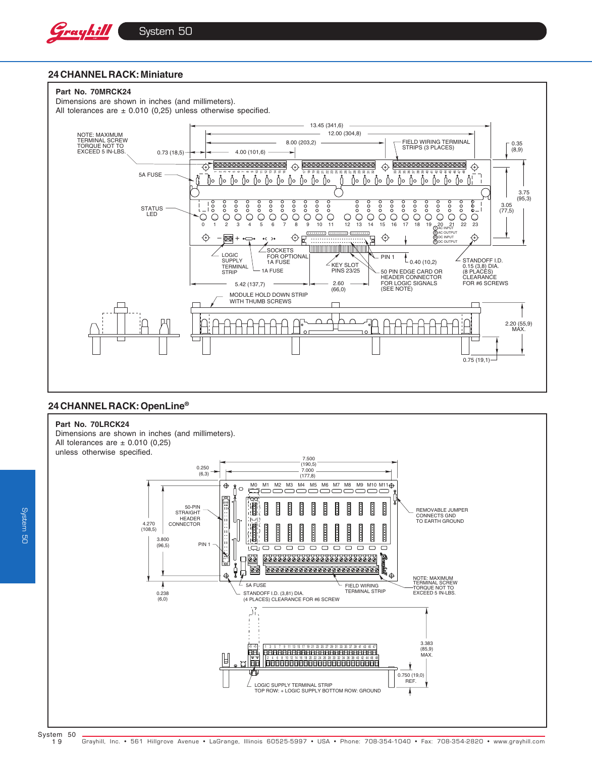

## **24 CHANNEL RACK: Miniature**



# **24 CHANNEL RACK: OpenLine®**

#### **Part No. 70LRCK24**

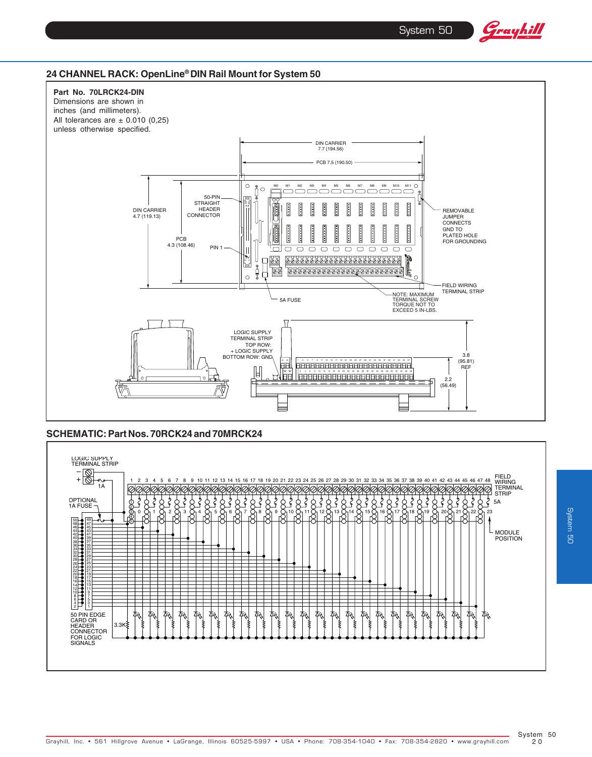System 50

Grayhill

# **24 CHANNEL RACK: OpenLine® DIN Rail Mount for System 50**



### **SCHEMATIC: Part Nos. 70RCK24 and 70MRCK24**



**System 50** System 50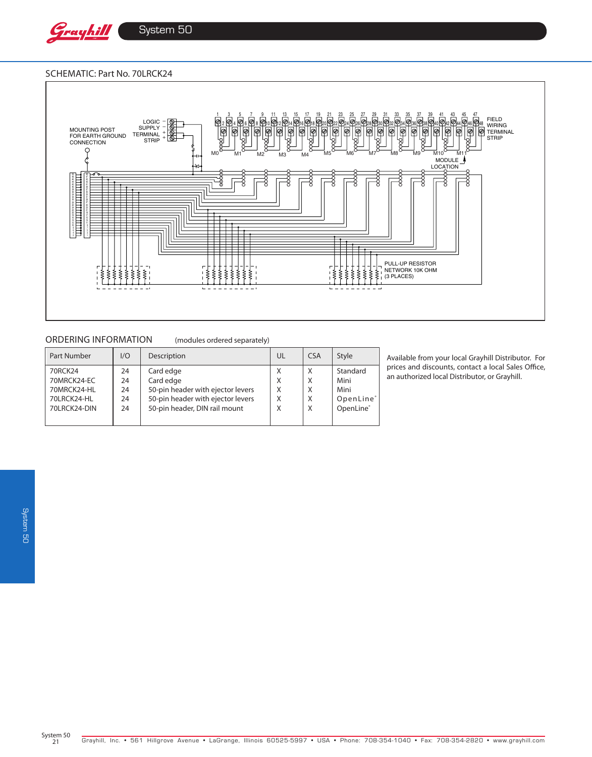

System 50

#### Schematic: Part No. 70LRCK24



# ORDERING INFORMATION (modules ordered separately)

| <b>Part Number</b>     | 1/O      | Description                       | UL     | <b>CSA</b> | Style                 |
|------------------------|----------|-----------------------------------|--------|------------|-----------------------|
| 70RCK24<br>70MRCK24-EC | 24<br>24 | Card edge<br>Card edge            | Χ<br>X | X<br>X     | Standard<br>Mini      |
| 70MRCK24-HL            | 24       | 50-pin header with ejector levers | X      | X          | Mini                  |
| 70LRCK24-HL            | 24       | 50-pin header with ejector levers | X      | X          | OpenLine <sup>®</sup> |
| 70LRCK24-DIN           | 24       | 50-pin header, DIN rail mount     | X      | X          | OpenLine®             |
|                        |          |                                   |        |            |                       |

Available from your local Grayhill Distributor. For prices and discounts, contact a local Sales Office, an authorized local Distributor, or Grayhill.